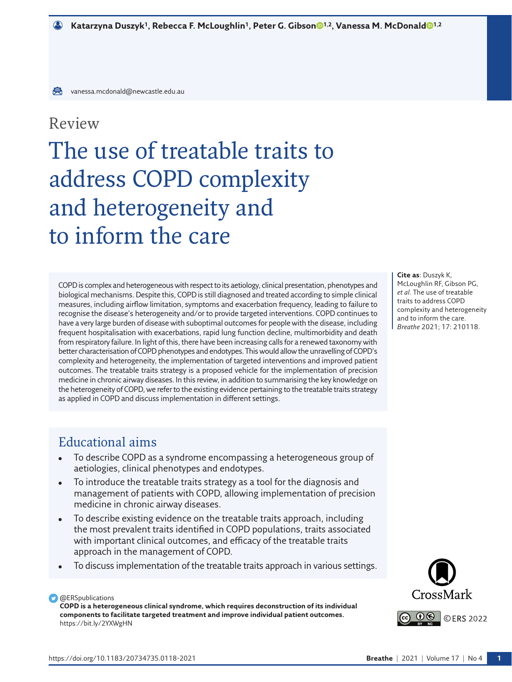## Review

## The use of treatable traits to address COPD complexity and heterogeneity and to inform the care

COPD is complex and heterogeneous with respect to its aetiology, clinical presentation, phenotypes and biological mechanisms. Despite this, COPD is still diagnosed and treated according to simple clinical measures, including airflow limitation, symptoms and exacerbation frequency, leading to failure to recognise the disease's heterogeneity and/or to provide targeted interventions. COPD continues to have a very large burden of disease with suboptimal outcomes for people with the disease, including frequent hospitalisation with exacerbations, rapid lung function decline, multimorbidity and death from respiratory failure. In light of this, there have been increasing calls for a renewed taxonomy with better characterisation of COPD phenotypes and endotypes. This would allow the unravelling of COPD's complexity and heterogeneity, the implementation of targeted interventions and improved patient outcomes. The treatable traits strategy is a proposed vehicle for the implementation of precision medicine in chronic airway diseases. In this review, in addition to summarising the key knowledge on the heterogeneity of COPD, we refer to the existing evidence pertaining to the treatable traits strategy as applied in COPD and discuss implementation in different settings.

**Cite as**: Duszyk K, McLoughlin RF, Gibson PG, *et al*. The use of treatable traits to address COPD complexity and heterogeneity and to inform the care. *Breathe* 2021; 17: 210118.

## Educational aims

- To describe COPD as a syndrome encompassing a heterogeneous group of aetiologies, clinical phenotypes and endotypes.
- To introduce the treatable traits strategy as a tool for the diagnosis and management of patients with COPD, allowing implementation of precision medicine in chronic airway diseases.
- To describe existing evidence on the treatable traits approach, including the most prevalent traits identified in COPD populations, traits associated with important clinical outcomes, and efficacy of the treatable traits approach in the management of COPD.
- To discuss implementation of the treatable traits approach in various settings.

## **D** @ERSpublications

**COPD is a heterogeneous clinical syndrome, which requires deconstruction of its individual components to facilitate targeted treatment and improve individual patient outcomes.** <https://bit.ly/2YXWgHN>

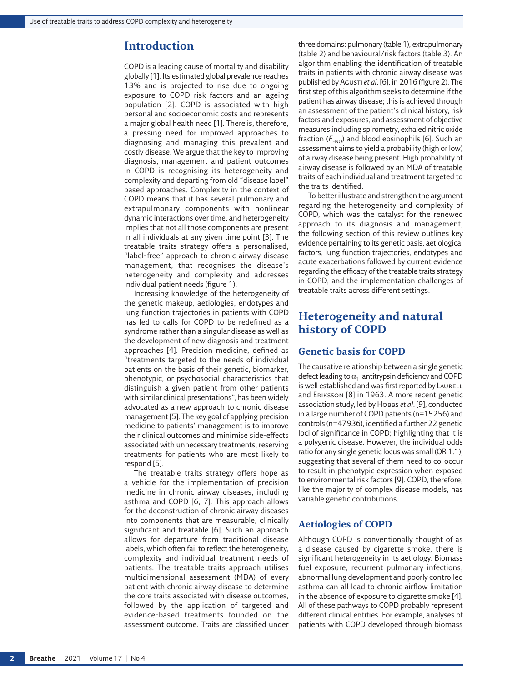## **Introduction**

COPD is a leading cause of mortality and disability globally [\[1\]](#page-12-0). Its estimated global prevalence reaches 13% and is projected to rise due to ongoing exposure to COPD risk factors and an ageing population [[2\]](#page-12-1). COPD is associated with high personal and socioeconomic costs and represents a major global health need [\[1\]](#page-12-0). There is, therefore, a pressing need for improved approaches to diagnosing and managing this prevalent and costly disease. We argue that the key to improving diagnosis, management and patient outcomes in COPD is recognising its heterogeneity and complexity and departing from old "disease label" based approaches. Complexity in the context of COPD means that it has several pulmonary and extrapulmonary components with nonlinear dynamic interactions over time, and heterogeneity implies that not all those components are present in all individuals at any given time point [\[3\]](#page-12-2). The treatable traits strategy offers a personalised, "label-free" approach to chronic airway disease management, that recognises the disease's heterogeneity and complexity and addresses individual patient needs [\(figure 1](#page-2-0)).

Increasing knowledge of the heterogeneity of the genetic makeup, aetiologies, endotypes and lung function trajectories in patients with COPD has led to calls for COPD to be redefined as a syndrome rather than a singular disease as well as the development of new diagnosis and treatment approaches [[4](#page-12-3)]. Precision medicine, defined as "treatments targeted to the needs of individual patients on the basis of their genetic, biomarker, phenotypic, or psychosocial characteristics that distinguish a given patient from other patients with similar clinical presentations", has been widely advocated as a new approach to chronic disease management [[5](#page-12-4)]. The key goal of applying precision medicine to patients' management is to improve their clinical outcomes and minimise side-effects associated with unnecessary treatments, reserving treatments for patients who are most likely to respond [[5\]](#page-12-4).

The treatable traits strategy offers hope as a vehicle for the implementation of precision medicine in chronic airway diseases, including asthma and COPD [\[6,](#page-12-5) [7](#page-12-6)]. This approach allows for the deconstruction of chronic airway diseases into components that are measurable, clinically significant and treatable [[6](#page-12-5)]. Such an approach allows for departure from traditional disease labels, which often fail to reflect the heterogeneity, complexity and individual treatment needs of patients*.* The treatable traits approach utilises multidimensional assessment (MDA) of every patient with chronic airway disease to determine the core traits associated with disease outcomes, followed by the application of targeted and evidence-based treatments founded on the assessment outcome. Traits are classified under

three domains: pulmonary ([table 1\)](#page-3-0), extrapulmonary ([table 2\)](#page-4-0) and behavioural/risk factors [\(table 3](#page-5-0)). An algorithm enabling the identification of treatable traits in patients with chronic airway disease was published by Agusti *et al*. [[6\]](#page-12-5), in 2016 ([figure 2](#page-5-1)). The first step of this algorithm seeks to determine if the patient has airway disease; this is achieved through an assessment of the patient's clinical history, risk factors and exposures, and assessment of objective measures including spirometry, exhaled nitric oxide fraction  $(F_{END})$  and blood eosinophils [\[6\]](#page-12-5). Such an assessment aims to yield a probability (high or low) of airway disease being present. High probability of airway disease is followed by an MDA of treatable traits of each individual and treatment targeted to the traits identified.

To better illustrate and strengthen the argument regarding the heterogeneity and complexity of COPD, which was the catalyst for the renewed approach to its diagnosis and management, the following section of this review outlines key evidence pertaining to its genetic basis, aetiological factors, lung function trajectories, endotypes and acute exacerbations followed by current evidence regarding the efficacy of the treatable traits strategy in COPD, and the implementation challenges of treatable traits across different settings.

## **Heterogeneity and natural history of COPD**

#### **Genetic basis for COPD**

The causative relationship between a single genetic defect leading to  $\alpha_1$ -antitrypsin deficiency and COPD is well established and was first reported by LAURELL and Eriksson [\[8\]](#page-12-7) in 1963. A more recent genetic association study, led by Hobbs *et al*. [\[9](#page-12-8)], conducted in a large number of COPD patients (n=15256) and controls (n=47936), identified a further 22 genetic loci of significance in COPD; highlighting that it is a polygenic disease. However, the individual odds ratio for any single genetic locus was small (OR 1.1), suggesting that several of them need to co-occur to result in phenotypic expression when exposed to environmental risk factors [[9](#page-12-8)]. COPD, therefore, like the majority of complex disease models, has variable genetic contributions.

## **Aetiologies of COPD**

Although COPD is conventionally thought of as a disease caused by cigarette smoke, there is significant heterogeneity in its aetiology. Biomass fuel exposure, recurrent pulmonary infections, abnormal lung development and poorly controlled asthma can all lead to chronic airflow limitation in the absence of exposure to cigarette smoke [\[4\]](#page-12-3). All of these pathways to COPD probably represent different clinical entities. For example, analyses of patients with COPD developed through biomass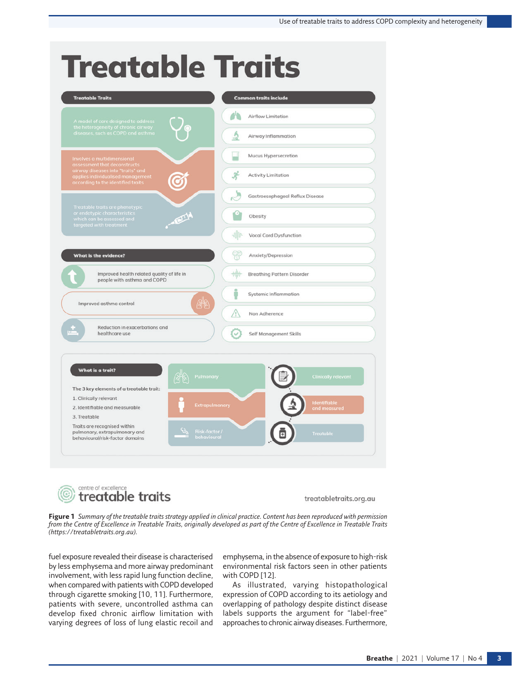# **Treatable Traits**





treatabletraits.org.au

<span id="page-2-0"></span>**Figure 1** *Summary of the treatable traits strategy applied in clinical practice. Content has been reproduced with permission from the Centre of Excellence in Treatable Traits, originally developed as part of the Centre of Excellence in Treatable Traits [\(https://treatabletraits.org.au](https://treatabletraits.org.au)).*

fuel exposure revealed their disease is characterised by less emphysema and more airway predominant involvement, with less rapid lung function decline, when compared with patients with COPD developed through cigarette smoking [[10,](#page-12-9) [11\]](#page-12-10). Furthermore, patients with severe, uncontrolled asthma can develop fixed chronic airflow limitation with varying degrees of loss of lung elastic recoil and

emphysema, in the absence of exposure to high-risk environmental risk factors seen in other patients with COPD [[12\]](#page-12-11).

As illustrated, varying histopathological expression of COPD according to its aetiology and overlapping of pathology despite distinct disease labels supports the argument for "label-free" approaches to chronic airway diseases. Furthermore,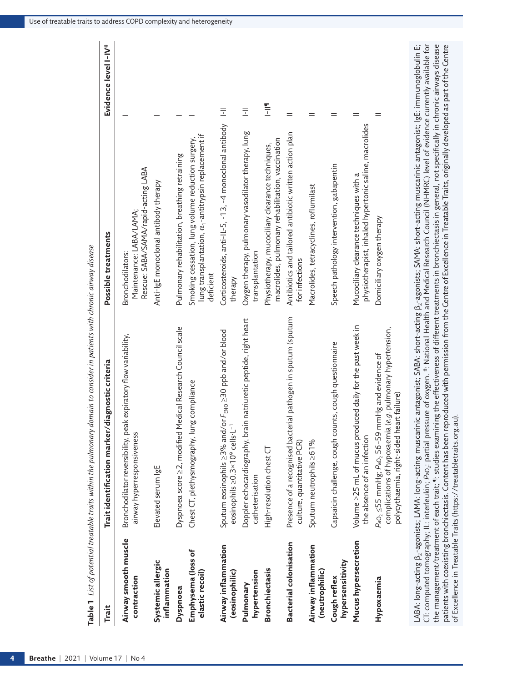|                                       | <b>gnostic</b> criteria<br>Trait identification marker/dia                                                                                                                            | Possible treatments                                                                                                          | Evidence level I-IV <sup>#</sup> |
|---------------------------------------|---------------------------------------------------------------------------------------------------------------------------------------------------------------------------------------|------------------------------------------------------------------------------------------------------------------------------|----------------------------------|
| Airway smooth muscle<br>contraction   | Bronchodilator reversibility, peak expiratory flow variability,<br>airway hyperresponsiveness                                                                                         | Rescue: SABA/SAMA/rapid-acting LABA<br>Maintenance: LABA/LAMA;<br>Bronchodilators:                                           |                                  |
| Systemic allergic<br>inflammation     | Elevated serum IgE                                                                                                                                                                    | Anti-IgE monoclonal antibody therapy                                                                                         |                                  |
| Dyspnoea                              | Dyspnoea score >2, modified Medical Research Council scale                                                                                                                            | Pulmonary rehabilitation, breathing retraining                                                                               |                                  |
| Emphysema (loss of<br>elastic recoil) | Chest CT, plethysmography, lung compliance                                                                                                                                            | lung transplantation, $\alpha$ -antitrypsin replacement if<br>Smoking cessation, lung volume reduction surgery,<br>deficient |                                  |
| Airway inflammation<br>(eosinophilic) | $F_{\text{ENO}} \geq 30$ ppb and/or blood<br>Sputum eosinophils >3% and/or<br>eosinophils ≥0.3×10 <sup>9</sup> cells.L <sup>-1</sup>                                                  | Corticosteroids, anti-IL-5, -13, -4 monoclonal antibody<br>therapy                                                           | F <sub>1</sub>                   |
| hypertension<br>Pulmonary             | natriuretic peptide, right heart<br>Doppler echocardiography, brain<br>catheterisation                                                                                                | Oxygen therapy, pulmonary vasodilator therapy, lung<br>transplantation                                                       | Ē                                |
| <b>Bronchiectasis</b>                 | High-resolution chest CT                                                                                                                                                              | macrolides, pulmonary rehabilitation, vaccination<br>Physiotherapy, mucociliary clearance techniques,                        | 트<br>그                           |
| <b>Bacterial colonisation</b>         | pathogen in sputum (sputum<br>Presence of a recognised bacterial<br>culture, quantitative PCR)                                                                                        | Antibiotics and tailored antibiotic written action plan<br>for infections                                                    |                                  |
| Airway inflammation<br>(neutrophilic) | Sputum neutrophils ≥61%                                                                                                                                                               | Macrolides, tetracyclines, roflumilast                                                                                       |                                  |
| hypersensitivity<br>Cough reflex      | Capsaicin challenge, cough counts, cough questionnaire                                                                                                                                | Speech pathology intervention, gabapentin                                                                                    |                                  |
| Mucus hypersecretion                  | Volume 225 mL of mucus produced daily for the past week in<br>the absence of an infection                                                                                             | physiotherapist, inhaled hypertonic saline, macrolides<br>Mucociliary clearance techniques with a                            |                                  |
| Hypoxaemia                            | complications of hypoxaemia (e.g. pulmonary hypertension,<br>$Pa_{\rm 0_2}$ $\leq$ 55 mmHg; $Pa_{\rm 0_2}$ 56-59 mmHg and evidence of<br>failure)<br>polycythaemia, right-sided heart | Domiciliary oxygen therapy                                                                                                   |                                  |

<span id="page-3-0"></span>Table 1 List of potential treatable traits within the pulmonary domain to consider in patients with chronic airway disease

*P*aO2: partial pressure of oxygen. #: National Health and Medical Research Council (NHMRC) level of evidence currently available for יר. כטווףטנפט יטוויסצופאיין, וב. וווכווכטמוו, רמט, פוטום פוסטים יו מאצכון. משמטום ווכמנו מוש יוכטומם מכפיכם שו<br>The management/treatment of each trait; ¶: studies examining the effectiveness of different treatments in bron the management/treatment of each trait; ¶: studies examining the effectiveness of different treatments in bronchiectasis in general, not specifically in chronic airways disease patients with coexisting bronchiectasis. Content has been reproduced with permission from the Centre of Excellence in Treatable Traits, originally developed as part of the Centre of Excellence in Treatable Traits [\(https://treatabletraits.org.au\).]((https://treatabletraits.org.au).﻿﻿)CT: computed tomography; IL: interleukin;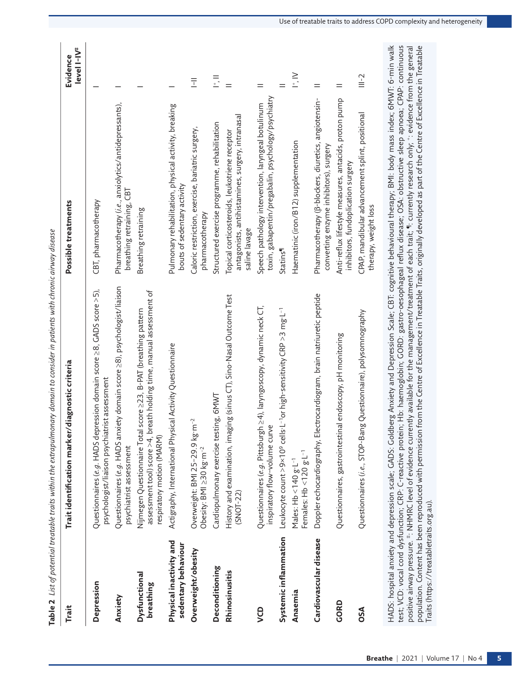<span id="page-4-0"></span>

| Trait                                          | Trait identification marker/diagnostic criteria                                                                                                                                                                                                                                                                                                                                                                                                                                                                                                                                                                                                                                                               | Possible treatments                                                                                                | level I-IV <sup>#</sup><br>Evidence |
|------------------------------------------------|---------------------------------------------------------------------------------------------------------------------------------------------------------------------------------------------------------------------------------------------------------------------------------------------------------------------------------------------------------------------------------------------------------------------------------------------------------------------------------------------------------------------------------------------------------------------------------------------------------------------------------------------------------------------------------------------------------------|--------------------------------------------------------------------------------------------------------------------|-------------------------------------|
| Depression                                     | Questionnaires (e.g. HADS depression domain score $\geq$ 8, GADS score $\geq$ 5),<br>psychologist/liaison psychiatrist assessment                                                                                                                                                                                                                                                                                                                                                                                                                                                                                                                                                                             | CBT, pharmacotherapy                                                                                               |                                     |
| Anxiety                                        | Questionnaires (e.g. HADS anxiety domain score ≥8), psychologist/liaison<br>psychiatrist assessment                                                                                                                                                                                                                                                                                                                                                                                                                                                                                                                                                                                                           | Pharmacotherapy (i.e., anxiolytics/antidepressants),<br>breathing retraining, CBT                                  |                                     |
| Dysfunctional<br>breathing                     | assessment tool) score $>$ 4, breath holding time, manual assessment of<br>Nijmegen Questionnaire Total score 223, B-PAT (breathing pattern<br>respiratory motion (MARM)                                                                                                                                                                                                                                                                                                                                                                                                                                                                                                                                      | Breathing retraining                                                                                               |                                     |
| Physical inactivity and<br>sedentary behaviour | al Activity Questionnaire<br>Actigraphy, International Physic                                                                                                                                                                                                                                                                                                                                                                                                                                                                                                                                                                                                                                                 | Pulmonary rehabilitation, physical activity, breaking<br>bouts of sedentary activity                               |                                     |
| Overweight/obesity                             | $\sim$<br>Overweight: BMI 25-29.9 kg·m<br>Obesity: BMI $\geq$ 30 kg·m <sup>-2</sup>                                                                                                                                                                                                                                                                                                                                                                                                                                                                                                                                                                                                                           | Caloric restriction, exercise, bariatric surgery,<br>pharmacotherapy                                               | Ī                                   |
| Deconditioning                                 | Cardiopulmonary exercise testing, 6MWT                                                                                                                                                                                                                                                                                                                                                                                                                                                                                                                                                                                                                                                                        | Structured exercise programme, rehabilitation                                                                      | $\frac{1}{2}$                       |
| Rhinosinusitis                                 | History and examination, imaging (sinus CT), Sino-Nasal Outcome Test<br>$(SNOT - 22)$                                                                                                                                                                                                                                                                                                                                                                                                                                                                                                                                                                                                                         | antagonists, antihistamines, surgery, intranasal<br>Topical corticosteroids, leukotriene receptor<br>saline lavage | $=$                                 |
| <b>OD</b>                                      | ≥4), laryngoscopy, dynamic neck CT,<br>Questionnaires (e.g. Pittsburgh<br>inspiratory flow-volume curve                                                                                                                                                                                                                                                                                                                                                                                                                                                                                                                                                                                                       | toxin, gabapentin/pregabalin, psychology/psychiatry<br>Speech pathology intervention, laryngeal botulinum          | $=$                                 |
| Systemic inflammation                          | L <sup>-1</sup> or high-sensitivity CRP >3 mg·L <sup>-1</sup><br>Leukocyte count >9×10° cells l                                                                                                                                                                                                                                                                                                                                                                                                                                                                                                                                                                                                               | Statins <sup>¶</sup>                                                                                               | $=$                                 |
| Anaemia                                        | Females: $Hb < 120 g L^{-1}$<br>Males: $Hb < 140 g·L^{-1}$                                                                                                                                                                                                                                                                                                                                                                                                                                                                                                                                                                                                                                                    | Haematinic (iron/B12) supplementation                                                                              | $\frac{1}{1}$                       |
| Cardiovascular disease                         | Doppler echocardiography, Electrocardiogram, brain natriuretic peptide                                                                                                                                                                                                                                                                                                                                                                                                                                                                                                                                                                                                                                        | Pharmacotherapy (B-blockers, diuretics, angiotensin-<br>converting enzyme inhibitors), surgery                     | $=$                                 |
| GORD                                           | Questionnaires, gastrointestinal endoscopy, pH monitoring                                                                                                                                                                                                                                                                                                                                                                                                                                                                                                                                                                                                                                                     | Anti-reflux lifestyle measures, antacids, proton pump<br>inhibitors, fundoplication surgery                        | $=$                                 |
| OSA                                            | Questionnaires (i.e., STOP-Bang Questionnaire), polysomnography                                                                                                                                                                                                                                                                                                                                                                                                                                                                                                                                                                                                                                               | CPAP, mandibular advancement splint, positional<br>therapy, weight loss                                            | $\cong$                             |
| Traits (https://treatabletraits.org.au).       | HADS: hospital anxiety and depression scale; Goldberg Anxiety and Depression Scale; CBT: cognitive behavioural therapy; BMI: body mass index; 6MWT: 6-min walk<br>test; VCD: vocal cord dysfunction; CRP: C-reactive protein; Hb: haemoglobin; GORD: gastro-oesophageal reflux disease; OSA: obstructive sleep apnoea; CPAP: continuous<br>population. Content has been reproduced with permission from the Centre of Excellence in Treatable Traits, originally developed as part of the Centre of Excellence in Treatable<br>positive airway pressure. #: NHMRC level of evidence currently available for the management/treatment of each trait; "I: currently research only; *: evidence from the general |                                                                                                                    |                                     |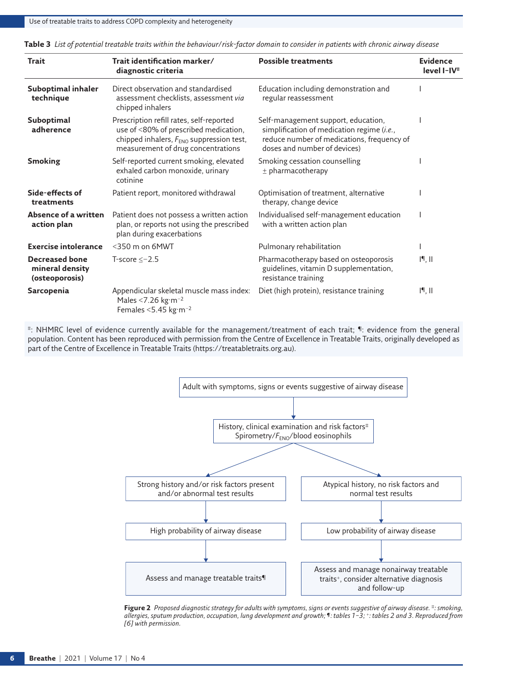Use of treatable traits to address COPD complexity and heterogeneity

| <b>Trait</b>                                               | Trait identification marker/<br>diagnostic criteria                                                                                                                             | <b>Possible treatments</b>                                                                                                                                      | <b>Evidence</b><br>level I-IV <sup>#</sup> |
|------------------------------------------------------------|---------------------------------------------------------------------------------------------------------------------------------------------------------------------------------|-----------------------------------------------------------------------------------------------------------------------------------------------------------------|--------------------------------------------|
| Suboptimal inhaler<br>technique                            | Direct observation and standardised<br>assessment checklists, assessment via<br>chipped inhalers                                                                                | Education including demonstration and<br>regular reassessment                                                                                                   |                                            |
| Suboptimal<br>adherence                                    | Prescription refill rates, self-reported<br>use of <80% of prescribed medication,<br>chipped inhalers, $F_{\text{ENO}}$ suppression test,<br>measurement of drug concentrations | Self-management support, education,<br>simplification of medication regime (i.e.,<br>reduce number of medications, frequency of<br>doses and number of devices) |                                            |
| <b>Smoking</b>                                             | Self-reported current smoking, elevated<br>exhaled carbon monoxide, urinary<br>cotinine                                                                                         | Smoking cessation counselling<br>$±$ pharmacotherapy                                                                                                            |                                            |
| Side-effects of<br>treatments                              | Patient report, monitored withdrawal                                                                                                                                            | Optimisation of treatment, alternative<br>therapy, change device                                                                                                |                                            |
| Absence of a written<br>action plan                        | Patient does not possess a written action<br>plan, or reports not using the prescribed<br>plan during exacerbations                                                             | Individualised self-management education<br>with a written action plan                                                                                          |                                            |
| <b>Exercise intolerance</b>                                | $<$ 350 m on 6MWT                                                                                                                                                               | Pulmonary rehabilitation                                                                                                                                        |                                            |
| <b>Decreased bone</b><br>mineral density<br>(osteoporosis) | T-score $<-2.5$                                                                                                                                                                 | Pharmacotherapy based on osteoporosis<br>guidelines, vitamin D supplementation,<br>resistance training                                                          | 19, 11                                     |
| Sarcopenia                                                 | Appendicular skeletal muscle mass index:<br>Males <7.26 kg·m <sup>-2</sup><br>Females <5.45 kg·m <sup>-2</sup>                                                                  | Diet (high protein), resistance training                                                                                                                        | 19, 11                                     |

<span id="page-5-0"></span>**Table 3** *List of potential treatable traits within the behaviour/risk-factor domain to consider in patients with chronic airway disease*

#: NHMRC level of evidence currently available for the management/treatment of each trait; ¶: evidence from the general population. Content has been reproduced with permission from the Centre of Excellence in Treatable Traits, originally developed as part of the Centre of Excellence in Treatable Traits [\(https://treatabletraits.org.au\).]((https://treatabletraits.org.au).﻿﻿)



<span id="page-5-1"></span>**Figure 2** *Proposed diagnostic strategy for adults with symptoms, signs or events suggestive of airway disease. #: smoking, allergies, sputum production, occupation, lung development and growth; ¶: tables 1–3; +: tables 2 and 3. Reproduced from [[6](#page-12-5)] with permission.*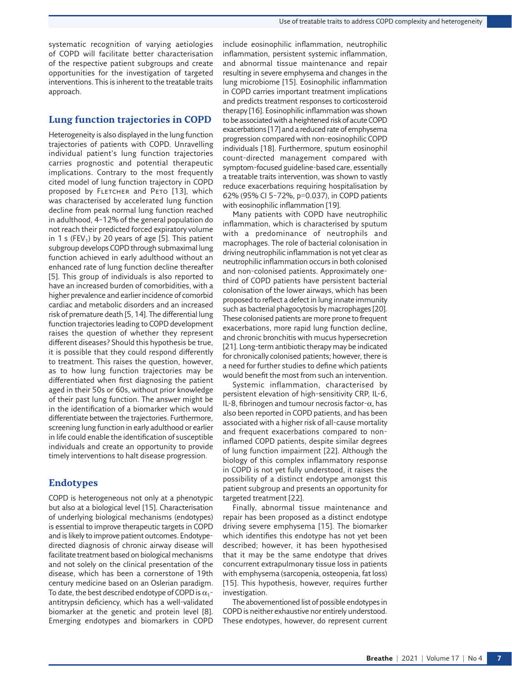systematic recognition of varying aetiologies of COPD will facilitate better characterisation of the respective patient subgroups and create opportunities for the investigation of targeted interventions. This is inherent to the treatable traits approach.

#### **Lung function trajectories in COPD**

Heterogeneity is also displayed in the lung function trajectories of patients with COPD. Unravelling individual patient's lung function trajectories carries prognostic and potential therapeutic implications. Contrary to the most frequently cited model of lung function trajectory in COPD proposed by FLETCHER and PETO [[13\]](#page-12-12), which was characterised by accelerated lung function decline from peak normal lung function reached in adulthood, 4–12% of the general population do not reach their predicted forced expiratory volume in 1 s (FEV<sub>1</sub>) by 20 years of age [\[5\]](#page-12-4). This patient subgroup develops COPD through submaximal lung function achieved in early adulthood without an enhanced rate of lung function decline thereafter [\[5\]](#page-12-4). This group of individuals is also reported to have an increased burden of comorbidities, with a higher prevalence and earlier incidence of comorbid cardiac and metabolic disorders and an increased risk of premature death [\[5,](#page-12-4) [14](#page-13-0)]. The differential lung function trajectories leading to COPD development raises the question of whether they represent different diseases? Should this hypothesis be true, it is possible that they could respond differently to treatment. This raises the question, however, as to how lung function trajectories may be differentiated when first diagnosing the patient aged in their 50s or 60s, without prior knowledge of their past lung function. The answer might be in the identification of a biomarker which would differentiate between the trajectories. Furthermore, screening lung function in early adulthood or earlier in life could enable the identification of susceptible individuals and create an opportunity to provide timely interventions to halt disease progression.

## **Endotypes**

COPD is heterogeneous not only at a phenotypic but also at a biological level [\[15\]](#page-13-1). Characterisation of underlying biological mechanisms (endotypes) is essential to improve therapeutic targets in COPD and is likely to improve patient outcomes. Endotypedirected diagnosis of chronic airway disease will facilitate treatment based on biological mechanisms and not solely on the clinical presentation of the disease, which has been a cornerstone of 19th century medicine based on an Oslerian paradigm. To date, the best described endotype of COPD is  $\alpha_1$ antitrypsin deficiency, which has a well-validated biomarker at the genetic and protein level [[8](#page-12-7)]. Emerging endotypes and biomarkers in COPD include eosinophilic inflammation, neutrophilic inflammation, persistent systemic inflammation, and abnormal tissue maintenance and repair resulting in severe emphysema and changes in the lung microbiome [\[15\]](#page-13-1). Eosinophilic inflammation in COPD carries important treatment implications and predicts treatment responses to corticosteroid therapy [\[16](#page-13-2)]. Eosinophilic inflammation was shown to be associated with a heightened risk of acute COPD exacerbations [\[17](#page-13-3)] and a reduced rate of emphysema progression compared with non-eosinophilic COPD individuals [[18\]](#page-13-4). Furthermore, sputum eosinophil count-directed management compared with symptom-focused guideline-based care, essentially a treatable traits intervention, was shown to vastly reduce exacerbations requiring hospitalisation by 62% (95% CI 5–72%, p=0.037), in COPD patients with eosinophilic inflammation [[19](#page-13-5)].

Many patients with COPD have neutrophilic inflammation, which is characterised by sputum with a predominance of neutrophils and macrophages. The role of bacterial colonisation in driving neutrophilic inflammation is not yet clear as neutrophilic inflammation occurs in both colonised and non-colonised patients. Approximately onethird of COPD patients have persistent bacterial colonisation of the lower airways, which has been proposed to reflect a defect in lung innate immunity such as bacterial phagocytosis by macrophages [[20](#page-13-6)]. These colonised patients are more prone to frequent exacerbations, more rapid lung function decline, and chronic bronchitis with mucus hypersecretion [[21](#page-13-7)]. Long-term antibiotic therapy may be indicated for chronically colonised patients; however, there is a need for further studies to define which patients would benefit the most from such an intervention.

Systemic inflammation, characterised by persistent elevation of high-sensitivity CRP, IL-6, IL-8, fibrinogen and tumour necrosis factor- $\alpha$ , has also been reported in COPD patients, and has been associated with a higher risk of all-cause mortality and frequent exacerbations compared to noninflamed COPD patients, despite similar degrees of lung function impairment [\[22](#page-13-8)]. Although the biology of this complex inflammatory response in COPD is not yet fully understood, it raises the possibility of a distinct endotype amongst this patient subgroup and presents an opportunity for targeted treatment [\[22](#page-13-8)].

Finally, abnormal tissue maintenance and repair has been proposed as a distinct endotype driving severe emphysema [\[15\]](#page-13-1). The biomarker which identifies this endotype has not yet been described; however, it has been hypothesised that it may be the same endotype that drives concurrent extrapulmonary tissue loss in patients with emphysema (sarcopenia, osteopenia, fat loss) [[15\]](#page-13-1). This hypothesis, however, requires further investigation.

The abovementioned list of possible endotypes in COPD is neither exhaustive nor entirely understood. These endotypes, however, do represent current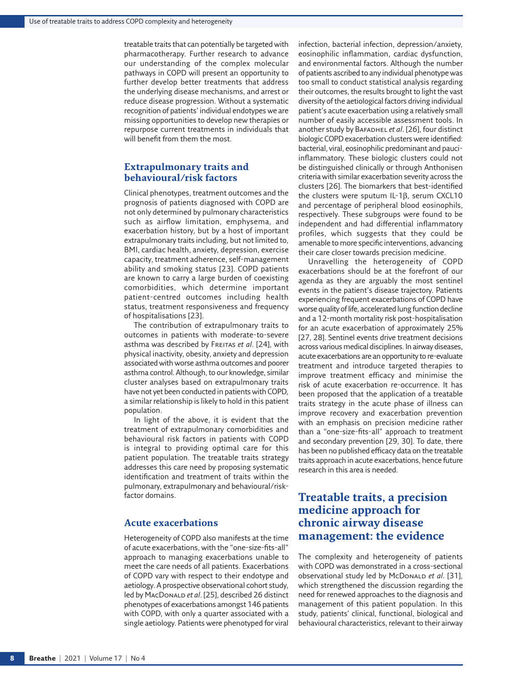treatable traits that can potentially be targeted with pharmacotherapy. Further research to advance our understanding of the complex molecular pathways in COPD will present an opportunity to further develop better treatments that address the underlying disease mechanisms, and arrest or reduce disease progression. Without a systematic recognition of patients' individual endotypes we are missing opportunities to develop new therapies or repurpose current treatments in individuals that will benefit from them the most.

#### **Extrapulmonary traits and behavioural/risk factors**

Clinical phenotypes, treatment outcomes and the prognosis of patients diagnosed with COPD are not only determined by pulmonary characteristics such as airflow limitation, emphysema, and exacerbation history, but by a host of important extrapulmonary traits including, but not limited to, BMI, cardiac health, anxiety, depression, exercise capacity, treatment adherence, self-management ability and smoking status [[23\]](#page-13-9). COPD patients are known to carry a large burden of coexisting comorbidities, which determine important patient-centred outcomes including health status, treatment responsiveness and frequency of hospitalisations [[23](#page-13-9)].

The contribution of extrapulmonary traits to outcomes in patients with moderate-to-severe asthma was described by Freitas *et al*. [[24](#page-13-10)], with physical inactivity, obesity, anxiety and depression associated with worse asthma outcomes and poorer asthma control. Although, to our knowledge, similar cluster analyses based on extrapulmonary traits have not yet been conducted in patients with COPD, a similar relationship is likely to hold in this patient population.

In light of the above, it is evident that the treatment of extrapulmonary comorbidities and behavioural risk factors in patients with COPD is integral to providing optimal care for this patient population. The treatable traits strategy addresses this care need by proposing systematic identification and treatment of traits within the pulmonary, extrapulmonary and behavioural/riskfactor domains.

#### **Acute exacerbations**

Heterogeneity of COPD also manifests at the time of acute exacerbations, with the "one-size-fits-all" approach to managing exacerbations unable to meet the care needs of all patients. Exacerbations of COPD vary with respect to their endotype and aetiology. A prospective observational cohort study, led by MacDonaLD et al. [\[25\]](#page-13-11), described 26 distinct phenotypes of exacerbations amongst 146 patients with COPD, with only a quarter associated with a single aetiology. Patients were phenotyped for viral infection, bacterial infection, depression/anxiety, eosinophilic inflammation, cardiac dysfunction, and environmental factors. Although the number of patients ascribed to any individual phenotype was too small to conduct statistical analysis regarding their outcomes, the results brought to light the vast diversity of the aetiological factors driving individual patient's acute exacerbation using a relatively small number of easily accessible assessment tools. In another study by Bafadhel *et al*. [[26](#page-13-12)], four distinct biologic COPD exacerbation clusters were identified: bacterial, viral, eosinophilic predominant and pauciinflammatory. These biologic clusters could not be distinguished clinically or through Anthonisen criteria with similar exacerbation severity across the clusters [[26](#page-13-12)]. The biomarkers that best-identified the clusters were sputum IL-1β, serum CXCL10 and percentage of peripheral blood eosinophils, respectively. These subgroups were found to be independent and had differential inflammatory profiles, which suggests that they could be amenable to more specific interventions, advancing their care closer towards precision medicine.

Unravelling the heterogeneity of COPD exacerbations should be at the forefront of our agenda as they are arguably the most sentinel events in the patient's disease trajectory. Patients experiencing frequent exacerbations of COPD have worse quality of life, accelerated lung function decline and a 12-month mortality risk post-hospitalisation for an acute exacerbation of approximately 25% [[27](#page-13-13), [28](#page-13-14)]. Sentinel events drive treatment decisions across various medical disciplines. In airway diseases, acute exacerbations are an opportunity to re-evaluate treatment and introduce targeted therapies to improve treatment efficacy and minimise the risk of acute exacerbation re-occurrence. It has been proposed that the application of a treatable traits strategy in the acute phase of illness can improve recovery and exacerbation prevention with an emphasis on precision medicine rather than a "one-size-fits-all" approach to treatment and secondary prevention [[29](#page-13-15), [30\]](#page-13-16). To date, there has been no published efficacy data on the treatable traits approach in acute exacerbations, hence future research in this area is needed.

## **Treatable traits, a precision medicine approach for chronic airway disease management: the evidence**

The complexity and heterogeneity of patients with COPD was demonstrated in a cross-sectional observational study led by McDonaLD et al. [\[31\]](#page-13-17), which strengthened the discussion regarding the need for renewed approaches to the diagnosis and management of this patient population. In this study, patients' clinical, functional, biological and behavioural characteristics, relevant to their airway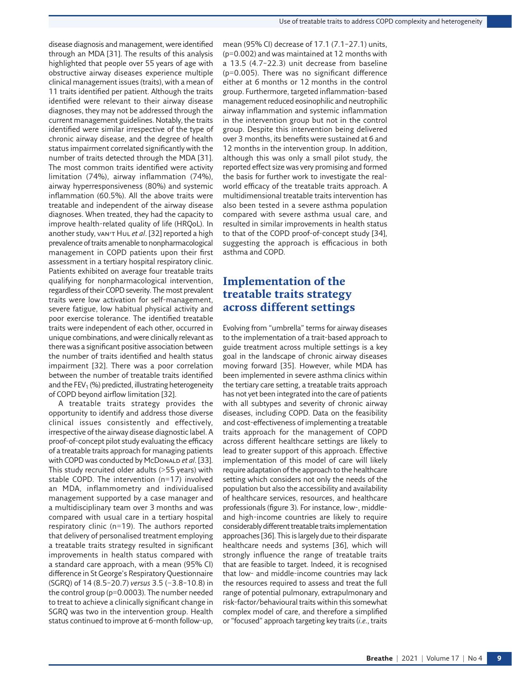disease diagnosis and management, were identified through an MDA [[31](#page-13-17)]. The results of this analysis highlighted that people over 55 years of age with obstructive airway diseases experience multiple clinical management issues (traits), with a mean of 11 traits identified per patient. Although the traits identified were relevant to their airway disease diagnoses, they may not be addressed through the current management guidelines. Notably, the traits identified were similar irrespective of the type of chronic airway disease, and the degree of health status impairment correlated significantly with the number of traits detected through the MDA [[31](#page-13-17)]. The most common traits identified were activity limitation (74%), airway inflammation (74%), airway hyperresponsiveness (80%) and systemic inflammation (60.5%). All the above traits were treatable and independent of the airway disease diagnoses. When treated, they had the capacity to improve health-related quality of life (HRQoL). In another study, van't Hul *et al*. [\[32\]](#page-13-18) reported a high prevalence of traits amenable to nonpharmacological management in COPD patients upon their first assessment in a tertiary hospital respiratory clinic. Patients exhibited on average four treatable traits qualifying for nonpharmacological intervention, regardless of their COPD severity. The most prevalent traits were low activation for self-management, severe fatigue, low habitual physical activity and poor exercise tolerance. The identified treatable traits were independent of each other, occurred in unique combinations, and were clinically relevant as there was a significant positive association between the number of traits identified and health status impairment [[32](#page-13-18)]. There was a poor correlation between the number of treatable traits identified and the  $FEV<sub>1</sub>$  (%) predicted, illustrating heterogeneity of COPD beyond airflow limitation [\[32\]](#page-13-18).

A treatable traits strategy provides the opportunity to identify and address those diverse clinical issues consistently and effectively, irrespective of the airway disease diagnostic label. A proof-of-concept pilot study evaluating the efficacy of a treatable traits approach for managing patients with COPD was conducted by McDonaLD et al. [[33](#page-13-19)]. This study recruited older adults (>55 years) with stable COPD. The intervention (n=17) involved an MDA, inflammometry and individualised management supported by a case manager and a multidisciplinary team over 3 months and was compared with usual care in a tertiary hospital respiratory clinic (n=19). The authors reported that delivery of personalised treatment employing a treatable traits strategy resulted in significant improvements in health status compared with a standard care approach, with a mean (95% CI) difference in St George's Respiratory Questionnaire (SGRQ) of 14 (8.5–20.7) *versus* 3.5 (−3.8–10.8) in the control group (p=0.0003). The number needed to treat to achieve a clinically significant change in SGRQ was two in the intervention group. Health status continued to improve at 6-month follow-up,

mean (95% CI) decrease of 17.1 (7.1–27.1) units, (p=0.002) and was maintained at 12 months with a 13.5 (4.7–22.3) unit decrease from baseline (p=0.005). There was no significant difference either at 6 months or 12 months in the control group. Furthermore, targeted inflammation-based management reduced eosinophilic and neutrophilic airway inflammation and systemic inflammation in the intervention group but not in the control group. Despite this intervention being delivered over 3 months, its benefits were sustained at 6 and 12 months in the intervention group. In addition, although this was only a small pilot study, the reported effect size was very promising and formed the basis for further work to investigate the realworld efficacy of the treatable traits approach. A multidimensional treatable traits intervention has also been tested in a severe asthma population compared with severe asthma usual care, and resulted in similar improvements in health status to that of the COPD proof-of-concept study [\[34\]](#page-13-20), suggesting the approach is efficacious in both asthma and COPD.

## **Implementation of the treatable traits strategy across different settings**

Evolving from "umbrella" terms for airway diseases to the implementation of a trait-based approach to guide treatment across multiple settings is a key goal in the landscape of chronic airway diseases moving forward [[35\]](#page-13-21). However, while MDA has been implemented in severe asthma clinics within the tertiary care setting, a treatable traits approach has not yet been integrated into the care of patients with all subtypes and severity of chronic airway diseases, including COPD. Data on the feasibility and cost-effectiveness of implementing a treatable traits approach for the management of COPD across different healthcare settings are likely to lead to greater support of this approach. Effective implementation of this model of care will likely require adaptation of the approach to the healthcare setting which considers not only the needs of the population but also the accessibility and availability of healthcare services, resources, and healthcare professionals ([figure 3\)](#page-9-0)*.* For instance, low-, middleand high-income countries are likely to require considerably different treatable traits implementation approaches [\[36\]](#page-13-22). This is largely due to their disparate healthcare needs and systems [[36\]](#page-13-22), which will strongly influence the range of treatable traits that are feasible to target. Indeed, it is recognised that low- and middle-income countries may lack the resources required to assess and treat the full range of potential pulmonary, extrapulmonary and risk-factor/behavioural traits within this somewhat complex model of care, and therefore a simplified or "focused" approach targeting key traits (*i.e.*, traits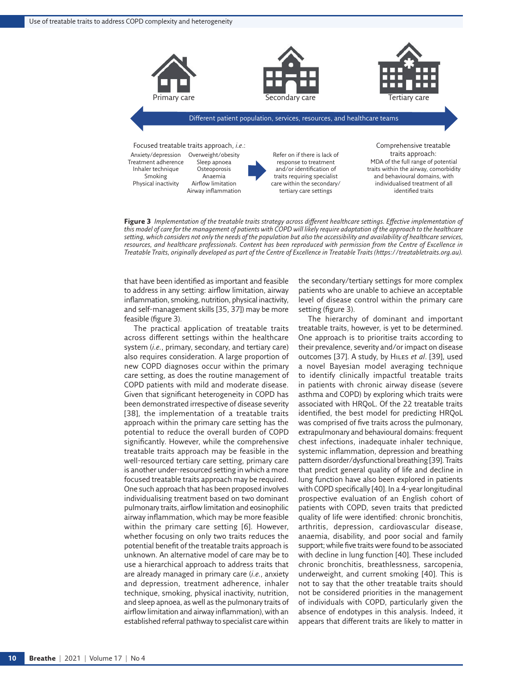

<span id="page-9-0"></span>**Figure 3** *Implementation of the treatable traits strategy across different healthcare settings. Effective implementation of this model of care for the management of patients with COPD will likely require adaptation of the approach to the healthcare setting, which considers not only the needs of the population but also the accessibility and availability of healthcare services,*  resources, and healthcare professionals. Content has been reproduced with permission from the Centre of Excellence in *Treatable Traits, originally developed as part of the Centre of Excellence in Treatable Traits (<https://treatabletraits.org.au>).*

that have been identified as important and feasible to address in any setting: airflow limitation, airway inflammation, smoking, nutrition, physical inactivity, and self-management skills [[35](#page-13-21), [37](#page-13-23)]) may be more feasible ([figure 3](#page-9-0)).

The practical application of treatable traits across different settings within the healthcare system (*i.e.*, primary, secondary, and tertiary care) also requires consideration. A large proportion of new COPD diagnoses occur within the primary care setting, as does the routine management of COPD patients with mild and moderate disease. Given that significant heterogeneity in COPD has been demonstrated irrespective of disease severity [\[38](#page-13-24)], the implementation of a treatable traits approach within the primary care setting has the potential to reduce the overall burden of COPD significantly. However, while the comprehensive treatable traits approach may be feasible in the well-resourced tertiary care setting, primary care is another under-resourced setting in which a more focused treatable traits approach may be required. One such approach that has been proposed involves individualising treatment based on two dominant pulmonary traits, airflow limitation and eosinophilic airway inflammation, which may be more feasible within the primary care setting [[6](#page-12-5)]. However, whether focusing on only two traits reduces the potential benefit of the treatable traits approach is unknown. An alternative model of care may be to use a hierarchical approach to address traits that are already managed in primary care (*i.e.*, anxiety and depression, treatment adherence, inhaler technique, smoking, physical inactivity, nutrition, and sleep apnoea, as well as the pulmonary traits of airflow limitation and airway inflammation), with an established referral pathway to specialist care within

the secondary/tertiary settings for more complex patients who are unable to achieve an acceptable level of disease control within the primary care setting ([figure 3](#page-9-0)).

The hierarchy of dominant and important treatable traits, however, is yet to be determined. One approach is to prioritise traits according to their prevalence, severity and/or impact on disease outcomes [[37\]](#page-13-23). A study, by Hiles *et al*. [[39\]](#page-13-25), used a novel Bayesian model averaging technique to identify clinically impactful treatable traits in patients with chronic airway disease (severe asthma and COPD) by exploring which traits were associated with HRQoL. Of the 22 treatable traits identified, the best model for predicting HRQoL was comprised of five traits across the pulmonary, extrapulmonary and behavioural domains: frequent chest infections, inadequate inhaler technique, systemic inflammation, depression and breathing pattern disorder/dysfunctional breathing [[39](#page-13-25)]. Traits that predict general quality of life and decline in lung function have also been explored in patients with COPD specifically [[40](#page-13-26)]. In a 4-year longitudinal prospective evaluation of an English cohort of patients with COPD, seven traits that predicted quality of life were identified: chronic bronchitis, arthritis, depression, cardiovascular disease, anaemia, disability, and poor social and family support; while five traits were found to be associated with decline in lung function [[40](#page-13-26)]. These included chronic bronchitis, breathlessness, sarcopenia, underweight, and current smoking [\[40](#page-13-26)]. This is not to say that the other treatable traits should not be considered priorities in the management of individuals with COPD, particularly given the absence of endotypes in this analysis. Indeed, it appears that different traits are likely to matter in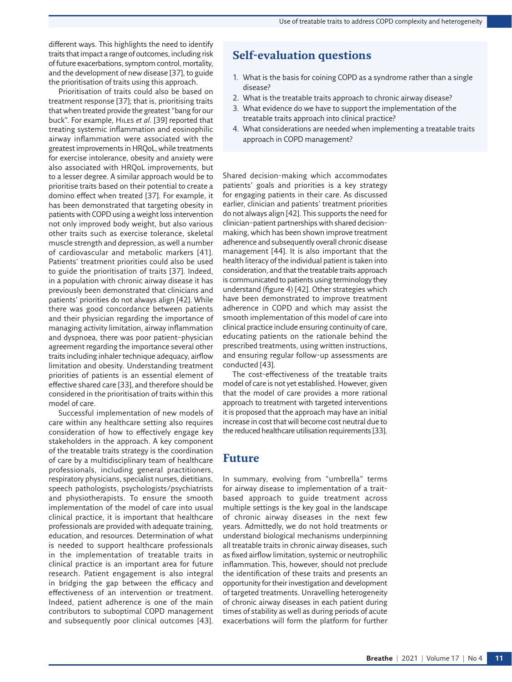different ways. This highlights the need to identify traits that impact a range of outcomes, including risk of future exacerbations, symptom control, mortality, and the development of new disease [[37](#page-13-23)], to guide the prioritisation of traits using this approach.

Prioritisation of traits could also be based on treatment response [[37](#page-13-23)]; that is, prioritising traits that when treated provide the greatest "bang for our buck". For example, Hiles *et al*. [\[39](#page-13-25)] reported that treating systemic inflammation and eosinophilic airway inflammation were associated with the greatest improvements in HRQoL, while treatments for exercise intolerance, obesity and anxiety were also associated with HRQoL improvements, but to a lesser degree. A similar approach would be to prioritise traits based on their potential to create a domino effect when treated [[37](#page-13-23)]. For example, it has been demonstrated that targeting obesity in patients with COPD using a weight loss intervention not only improved body weight, but also various other traits such as exercise tolerance, skeletal muscle strength and depression, as well a number of cardiovascular and metabolic markers [\[41](#page-13-27)]. Patients' treatment priorities could also be used to guide the prioritisation of traits [[37\]](#page-13-23). Indeed, in a population with chronic airway disease it has previously been demonstrated that clinicians and patients' priorities do not always align [\[42\]](#page-13-28). While there was good concordance between patients and their physician regarding the importance of managing activity limitation, airway inflammation and dyspnoea, there was poor patient–physician agreement regarding the importance several other traits including inhaler technique adequacy, airflow limitation and obesity. Understanding treatment priorities of patients is an essential element of effective shared care [[33](#page-13-19)], and therefore should be considered in the prioritisation of traits within this model of care.

Successful implementation of new models of care within any healthcare setting also requires consideration of how to effectively engage key stakeholders in the approach. A key component of the treatable traits strategy is the coordination of care by a multidisciplinary team of healthcare professionals, including general practitioners, respiratory physicians, specialist nurses, dietitians, speech pathologists, psychologists/psychiatrists and physiotherapists. To ensure the smooth implementation of the model of care into usual clinical practice, it is important that healthcare professionals are provided with adequate training, education, and resources. Determination of what is needed to support healthcare professionals in the implementation of treatable traits in clinical practice is an important area for future research. Patient engagement is also integral in bridging the gap between the efficacy and effectiveness of an intervention or treatment. Indeed, patient adherence is one of the main contributors to suboptimal COPD management and subsequently poor clinical outcomes [\[43](#page-13-29)].

## **Self-evaluation questions**

- 1. What is the basis for coining COPD as a syndrome rather than a single disease?
- 2. What is the treatable traits approach to chronic airway disease?
- 3. What evidence do we have to support the implementation of the treatable traits approach into clinical practice?
- 4. What considerations are needed when implementing a treatable traits approach in COPD management?

Shared decision-making which accommodates patients' goals and priorities is a key strategy for engaging patients in their care. As discussed earlier, clinician and patients' treatment priorities do not always align [\[42\]](#page-13-28). This supports the need for clinician–patient partnerships with shared decisionmaking, which has been shown improve treatment adherence and subsequently overall chronic disease management [\[44](#page-13-30)]. It is also important that the health literacy of the individual patient is taken into consideration, and that the treatable traits approach is communicated to patients using terminology they understand [\(figure 4](#page-11-0)) [[42](#page-13-28)]*.* Other strategies which have been demonstrated to improve treatment adherence in COPD and which may assist the smooth implementation of this model of care into clinical practice include ensuring continuity of care, educating patients on the rationale behind the prescribed treatments, using written instructions, and ensuring regular follow-up assessments are conducted [[43\]](#page-13-29).

The cost-effectiveness of the treatable traits model of care is not yet established. However, given that the model of care provides a more rational approach to treatment with targeted interventions it is proposed that the approach may have an initial increase in cost that will become cost neutral due to the reduced healthcare utilisation requirements [[33\]](#page-13-19).

## **Future**

In summary, evolving from "umbrella" terms for airway disease to implementation of a traitbased approach to guide treatment across multiple settings is the key goal in the landscape of chronic airway diseases in the next few years. Admittedly, we do not hold treatments or understand biological mechanisms underpinning all treatable traits in chronic airway diseases, such as fixed airflow limitation, systemic or neutrophilic inflammation. This, however, should not preclude the identification of these traits and presents an opportunity for their investigation and development of targeted treatments. Unravelling heterogeneity of chronic airway diseases in each patient during times of stability as well as during periods of acute exacerbations will form the platform for further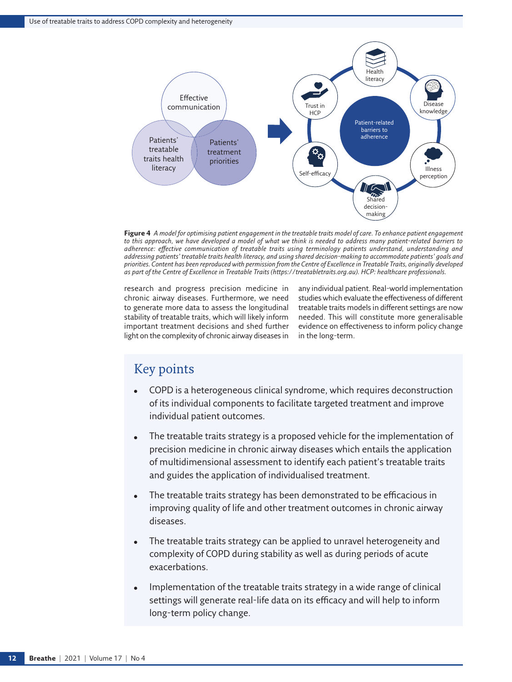

<span id="page-11-0"></span>**Figure 4** *A model for optimising patient engagement in the treatable traits model of care. To enhance patient engagement*  to this approach, we have developed a model of what we think is needed to address many patient-related barriers to *adherence: effective communication of treatable traits using terminology patients understand, understanding and addressing patients' treatable traits health literacy, and using shared decision-making to accommodate patients' goals and priorities. Content has been reproduced with permission from the Centre of Excellence in Treatable Traits, originally developed as part of the Centre of Excellence in Treatable Traits ([https://treatabletraits.org.au\)](https://treatabletraits.org.au). HCP: healthcare professionals.*

research and progress precision medicine in chronic airway diseases. Furthermore, we need to generate more data to assess the longitudinal stability of treatable traits, which will likely inform important treatment decisions and shed further light on the complexity of chronic airway diseases in any individual patient. Real-world implementation studies which evaluate the effectiveness of different treatable traits models in different settings are now needed. This will constitute more generalisable evidence on effectiveness to inform policy change in the long-term.

## Key points

- COPD is a heterogeneous clinical syndrome, which requires deconstruction of its individual components to facilitate targeted treatment and improve individual patient outcomes.
- The treatable traits strategy is a proposed vehicle for the implementation of precision medicine in chronic airway diseases which entails the application of multidimensional assessment to identify each patient's treatable traits and guides the application of individualised treatment.
- The treatable traits strategy has been demonstrated to be efficacious in improving quality of life and other treatment outcomes in chronic airway diseases.
- The treatable traits strategy can be applied to unravel heterogeneity and complexity of COPD during stability as well as during periods of acute exacerbations.
- Implementation of the treatable traits strategy in a wide range of clinical settings will generate real-life data on its efficacy and will help to inform long-term policy change.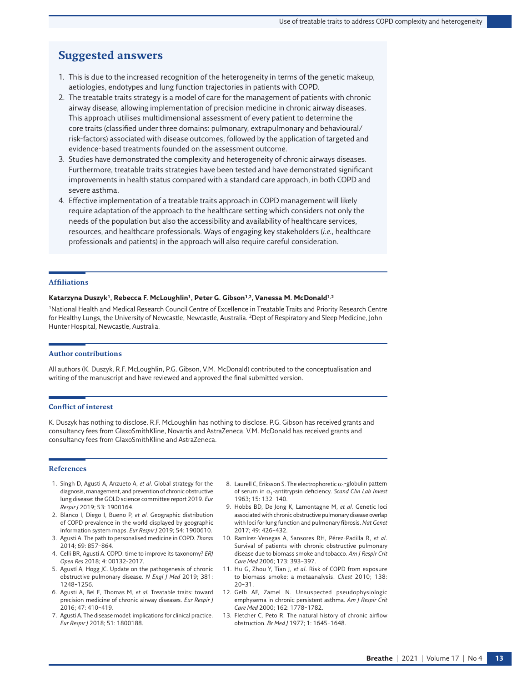## **Suggested answers**

- 1. This is due to the increased recognition of the heterogeneity in terms of the genetic makeup, aetiologies, endotypes and lung function trajectories in patients with COPD.
- 2. The treatable traits strategy is a model of care for the management of patients with chronic airway disease, allowing implementation of precision medicine in chronic airway diseases. This approach utilises multidimensional assessment of every patient to determine the core traits (classified under three domains: pulmonary, extrapulmonary and behavioural/ risk-factors) associated with disease outcomes, followed by the application of targeted and evidence-based treatments founded on the assessment outcome.
- 3. Studies have demonstrated the complexity and heterogeneity of chronic airways diseases. Furthermore, treatable traits strategies have been tested and have demonstrated significant improvements in health status compared with a standard care approach, in both COPD and severe asthma.
- 4. Effective implementation of a treatable traits approach in COPD management will likely require adaptation of the approach to the healthcare setting which considers not only the needs of the population but also the accessibility and availability of healthcare services, resources, and healthcare professionals. Ways of engaging key stakeholders (*i.e.*, healthcare professionals and patients) in the approach will also require careful consideration.

#### **Affiliations**

#### **Katarzyna Duszyk1, Rebecca F. McLoughlin1, Peter G. Gibson1,2, Vanessa M. McDonald1,2**

1National Health and Medical Research Council Centre of Excellence in Treatable Traits and Priority Research Centre for Healthy Lungs, the University of Newcastle, Newcastle, Australia. <sup>2</sup>Dept of Respiratory and Sleep Medicine, John Hunter Hospital, Newcastle, Australia.

#### **Author contributions**

All authors (K. Duszyk, R.F. McLoughlin, P.G. Gibson, V.M. McDonald) contributed to the conceptualisation and writing of the manuscript and have reviewed and approved the final submitted version.

#### **Conflict of interest**

K. Duszyk has nothing to disclose. R.F. McLoughlin has nothing to disclose. P.G. Gibson has received grants and consultancy fees from GlaxoSmithKline, Novartis and AstraZeneca. V.M. McDonald has received grants and consultancy fees from GlaxoSmithKline and AstraZeneca.

#### **References**

- <span id="page-12-0"></span>1. Singh D, Agusti A, Anzueto A, *et al.* Global strategy for the diagnosis, management, and prevention of chronic obstructive lung disease: the GOLD science committee report 2019. *Eur Respir J* 2019; 53: 1900164.
- <span id="page-12-1"></span>2. Blanco I, Diego I, Bueno P, *et al.* Geographic distribution of COPD prevalence in the world displayed by geographic information system maps. *Eur Respir J* 2019; 54: 1900610.
- <span id="page-12-2"></span>3. Agusti A. The path to personalised medicine in COPD. *Thorax* 2014; 69: 857–864.
- <span id="page-12-3"></span>4. Celli BR, Agustí A. COPD: time to improve its taxonomy? *ERJ Open Res* 2018; 4: 00132-2017.
- <span id="page-12-4"></span>5. Agustí A, Hogg JC. Update on the pathogenesis of chronic obstructive pulmonary disease. *N Engl J Med* 2019; 381: 1248–1256.
- <span id="page-12-5"></span>6. Agusti A, Bel E, Thomas M, *et al.* Treatable traits: toward precision medicine of chronic airway diseases. *Eur Respir J* 2016; 47: 410–419.
- <span id="page-12-6"></span>7. Agusti A. The disease model: implications for clinical practice. *Eur Respir J* 2018; 51: 1800188.
- <span id="page-12-7"></span>8. Laurell C, Eriksson S. The electrophoretic  $\alpha_1$ -globulin pattern of serum in α1-antitrypsin deficiency. *Scand Clin Lab Invest* 1963; 15: 132–140.
- <span id="page-12-8"></span>9. Hobbs BD, De Jong K, Lamontagne M, *et al.* Genetic loci associated with chronic obstructive pulmonary disease overlap with loci for lung function and pulmonary fibrosis. *Nat Genet* 2017; 49: 426–432.
- <span id="page-12-9"></span>10. Ramírez-Venegas A, Sansores RH, Pérez-Padilla R, *et al.* Survival of patients with chronic obstructive pulmonary disease due to biomass smoke and tobacco. *Am J Respir Crit Care Med* 2006; 173: 393–397.
- <span id="page-12-10"></span>11. Hu G, Zhou Y, Tian J, *et al.* Risk of COPD from exposure to biomass smoke: a metaanalysis. *Chest* 2010; 138: 20–31.
- <span id="page-12-11"></span>12. Gelb AF, Zamel N. Unsuspected pseudophysiologic emphysema in chronic persistent asthma. *Am J Respir Crit Care Med* 2000; 162: 1778–1782.
- <span id="page-12-12"></span>13. Fletcher C, Peto R. The natural history of chronic airflow obstruction. *Br Med J* 1977; 1: 1645–1648.